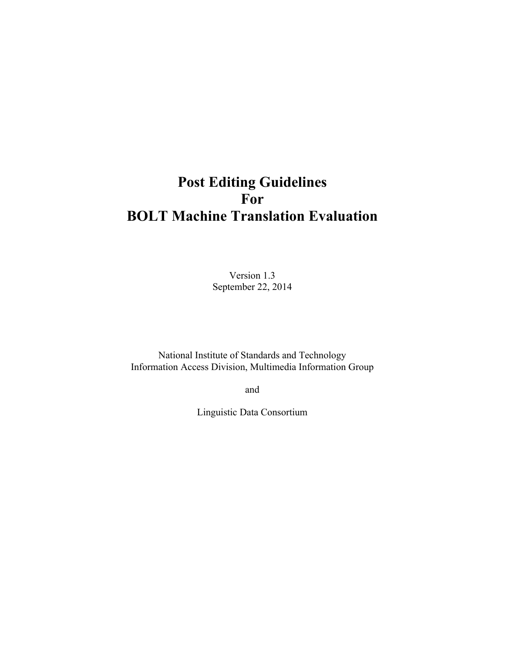# **Post Editing Guidelines For BOLT Machine Translation Evaluation**

Version 1.3 September 22, 2014

National Institute of Standards and Technology Information Access Division, Multimedia Information Group

and

Linguistic Data Consortium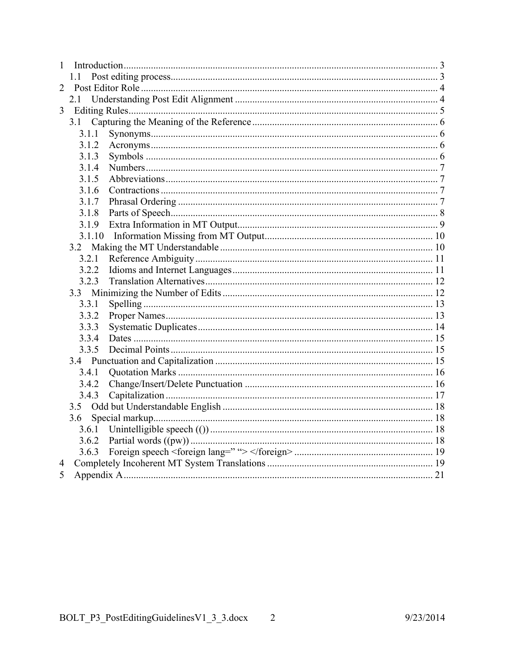| 1 |        |  |  |  |
|---|--------|--|--|--|
|   | 11     |  |  |  |
| 2 |        |  |  |  |
|   | 2.1    |  |  |  |
| 3 |        |  |  |  |
|   | 3.1    |  |  |  |
|   | 3.1.1  |  |  |  |
|   | 3.1.2  |  |  |  |
|   | 3.1.3  |  |  |  |
|   | 3.1.4  |  |  |  |
|   | 3.1.5  |  |  |  |
|   | 3.1.6  |  |  |  |
|   | 3.1.7  |  |  |  |
|   | 3.1.8  |  |  |  |
|   | 3.1.9  |  |  |  |
|   | 3.1.10 |  |  |  |
|   |        |  |  |  |
|   | 3.2.1  |  |  |  |
|   | 3.2.2  |  |  |  |
|   | 3.2.3  |  |  |  |
|   | 3.3    |  |  |  |
|   | 3.3.1  |  |  |  |
|   | 3.3.2  |  |  |  |
|   | 3.3.3  |  |  |  |
|   | 3.3.4  |  |  |  |
|   | 3.3.5  |  |  |  |
|   |        |  |  |  |
|   | 3.4.1  |  |  |  |
|   | 3.4.2  |  |  |  |
|   | 3.4.3  |  |  |  |
|   |        |  |  |  |
|   | 3.6    |  |  |  |
|   |        |  |  |  |
|   |        |  |  |  |
|   | 3.6.3  |  |  |  |
| 4 |        |  |  |  |
| 5 |        |  |  |  |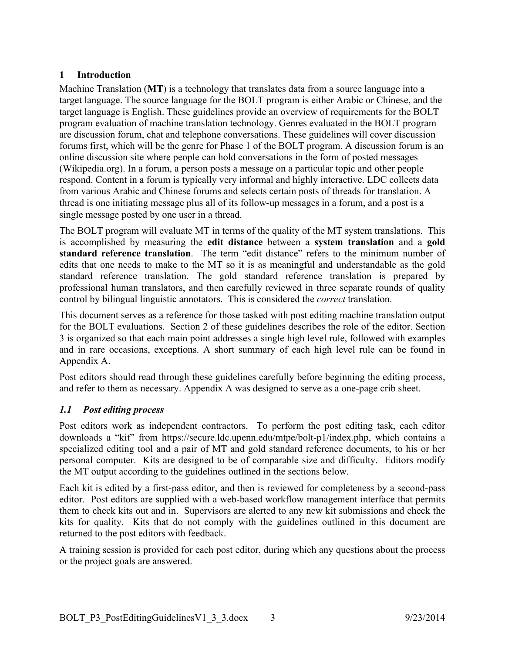# **1 Introduction**

Machine Translation (**MT**) is a technology that translates data from a source language into a target language. The source language for the BOLT program is either Arabic or Chinese, and the target language is English. These guidelines provide an overview of requirements for the BOLT program evaluation of machine translation technology. Genres evaluated in the BOLT program are discussion forum, chat and telephone conversations. These guidelines will cover discussion forums first, which will be the genre for Phase 1 of the BOLT program. A discussion forum is an online discussion site where people can hold conversations in the form of posted messages (Wikipedia.org). In a forum, a person posts a message on a particular topic and other people respond. Content in a forum is typically very informal and highly interactive. LDC collects data from various Arabic and Chinese forums and selects certain posts of threads for translation. A thread is one initiating message plus all of its follow-up messages in a forum, and a post is a single message posted by one user in a thread.

The BOLT program will evaluate MT in terms of the quality of the MT system translations. This is accomplished by measuring the **edit distance** between a **system translation** and a **gold standard reference translation**. The term "edit distance" refers to the minimum number of edits that one needs to make to the MT so it is as meaningful and understandable as the gold standard reference translation. The gold standard reference translation is prepared by professional human translators, and then carefully reviewed in three separate rounds of quality control by bilingual linguistic annotators. This is considered the *correct* translation.

This document serves as a reference for those tasked with post editing machine translation output for the BOLT evaluations. Section 2 of these guidelines describes the role of the editor. Section 3 is organized so that each main point addresses a single high level rule, followed with examples and in rare occasions, exceptions. A short summary of each high level rule can be found in Appendix A.

Post editors should read through these guidelines carefully before beginning the editing process, and refer to them as necessary. Appendix A was designed to serve as a one-page crib sheet.

# *1.1 Post editing process*

Post editors work as independent contractors. To perform the post editing task, each editor downloads a "kit" from https://secure.ldc.upenn.edu/mtpe/bolt-p1/index.php, which contains a specialized editing tool and a pair of MT and gold standard reference documents, to his or her personal computer. Kits are designed to be of comparable size and difficulty. Editors modify the MT output according to the guidelines outlined in the sections below.

Each kit is edited by a first-pass editor, and then is reviewed for completeness by a second-pass editor. Post editors are supplied with a web-based workflow management interface that permits them to check kits out and in. Supervisors are alerted to any new kit submissions and check the kits for quality. Kits that do not comply with the guidelines outlined in this document are returned to the post editors with feedback.

A training session is provided for each post editor, during which any questions about the process or the project goals are answered.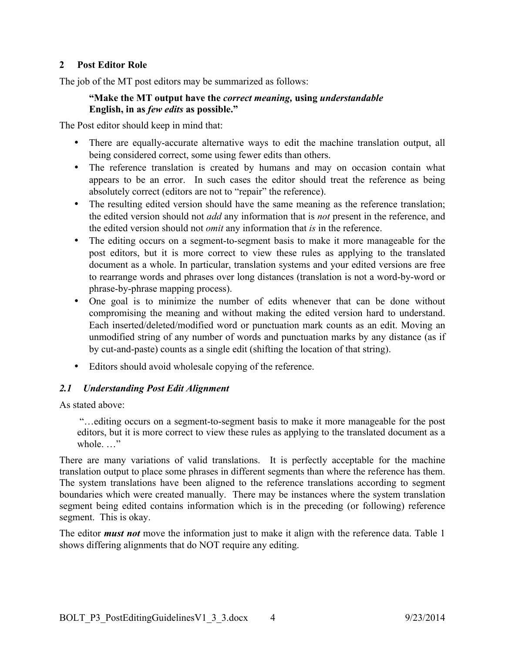## **2 Post Editor Role**

The job of the MT post editors may be summarized as follows:

#### **"Make the MT output have the** *correct meaning,* **using** *understandable*  **English, in as** *few edits* **as possible."**

The Post editor should keep in mind that:

- There are equally-accurate alternative ways to edit the machine translation output, all being considered correct, some using fewer edits than others.
- The reference translation is created by humans and may on occasion contain what appears to be an error. In such cases the editor should treat the reference as being absolutely correct (editors are not to "repair" the reference).
- The resulting edited version should have the same meaning as the reference translation; the edited version should not *add* any information that is *not* present in the reference, and the edited version should not *omit* any information that *is* in the reference.
- The editing occurs on a segment-to-segment basis to make it more manageable for the post editors, but it is more correct to view these rules as applying to the translated document as a whole. In particular, translation systems and your edited versions are free to rearrange words and phrases over long distances (translation is not a word-by-word or phrase-by-phrase mapping process).
- One goal is to minimize the number of edits whenever that can be done without compromising the meaning and without making the edited version hard to understand. Each inserted/deleted/modified word or punctuation mark counts as an edit. Moving an unmodified string of any number of words and punctuation marks by any distance (as if by cut-and-paste) counts as a single edit (shifting the location of that string).
- Editors should avoid wholesale copying of the reference.

# *2.1 Understanding Post Edit Alignment*

As stated above:

"…editing occurs on a segment-to-segment basis to make it more manageable for the post editors, but it is more correct to view these rules as applying to the translated document as a whole. …"

There are many variations of valid translations. It is perfectly acceptable for the machine translation output to place some phrases in different segments than where the reference has them. The system translations have been aligned to the reference translations according to segment boundaries which were created manually. There may be instances where the system translation segment being edited contains information which is in the preceding (or following) reference segment. This is okay.

The editor *must not* move the information just to make it align with the reference data. Table 1 shows differing alignments that do NOT require any editing.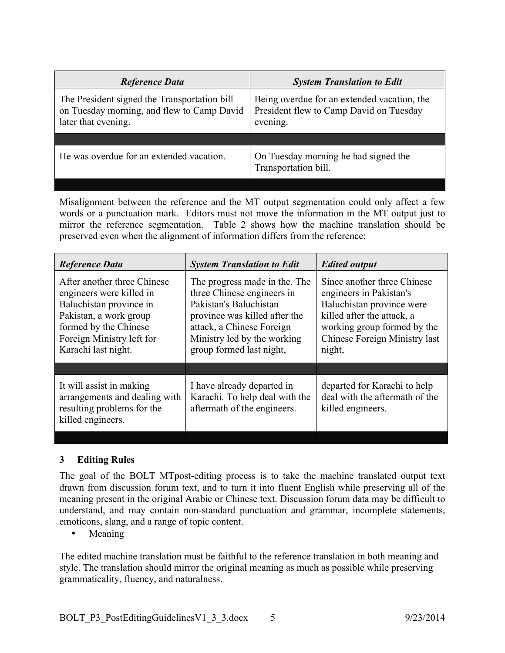| <b>Reference Data</b>                                                                                             | <b>System Translation to Edit</b>                                                                  |  |
|-------------------------------------------------------------------------------------------------------------------|----------------------------------------------------------------------------------------------------|--|
| The President signed the Transportation bill<br>on Tuesday morning, and flew to Camp David<br>later that evening. | Being overdue for an extended vacation, the<br>President flew to Camp David on Tuesday<br>evening. |  |
|                                                                                                                   |                                                                                                    |  |
| He was overdue for an extended vacation.                                                                          | On Tuesday morning he had signed the<br>Transportation bill.                                       |  |
|                                                                                                                   |                                                                                                    |  |

Misalignment between the reference and the MT output segmentation could only affect a few words or a punctuation mark. Editors must not move the information in the MT output just to mirror the reference segmentation. Table 2 shows how the machine translation should be preserved even when the alignment of information differs from the reference:

| <b>Reference Data</b>                                                                                                                                                                     | <b>System Translation to Edit</b>                                                                                                                                                                              | <b>Edited output</b>                                                                                                                                                                        |  |
|-------------------------------------------------------------------------------------------------------------------------------------------------------------------------------------------|----------------------------------------------------------------------------------------------------------------------------------------------------------------------------------------------------------------|---------------------------------------------------------------------------------------------------------------------------------------------------------------------------------------------|--|
| After another three Chinese<br>engineers were killed in<br>Baluchistan province in<br>Pakistan, a work group<br>formed by the Chinese<br>Foreign Ministry left for<br>Karachi last night. | The progress made in the. The<br>three Chinese engineers in<br>Pakistan's Baluchistan<br>province was killed after the<br>attack, a Chinese Foreign<br>Ministry led by the working<br>group formed last night, | Since another three Chinese<br>engineers in Pakistan's<br>Baluchistan province were<br>killed after the attack, a<br>working group formed by the<br>Chinese Foreign Ministry last<br>night, |  |
|                                                                                                                                                                                           |                                                                                                                                                                                                                |                                                                                                                                                                                             |  |
| It will assist in making<br>arrangements and dealing with<br>resulting problems for the<br>killed engineers.                                                                              | I have already departed in<br>Karachi. To help deal with the<br>aftermath of the engineers.                                                                                                                    | departed for Karachi to help<br>deal with the aftermath of the<br>killed engineers.                                                                                                         |  |

## **3 Editing Rules**

The goal of the BOLT MTpost-editing process is to take the machine translated output text drawn from discussion forum text, and to turn it into fluent English while preserving all of the meaning present in the original Arabic or Chinese text. Discussion forum data may be difficult to understand, and may contain non-standard punctuation and grammar, incomplete statements, emoticons, slang, and a range of topic content.

• Meaning

The edited machine translation must be faithful to the reference translation in both meaning and style. The translation should mirror the original meaning as much as possible while preserving grammaticality, fluency, and naturalness.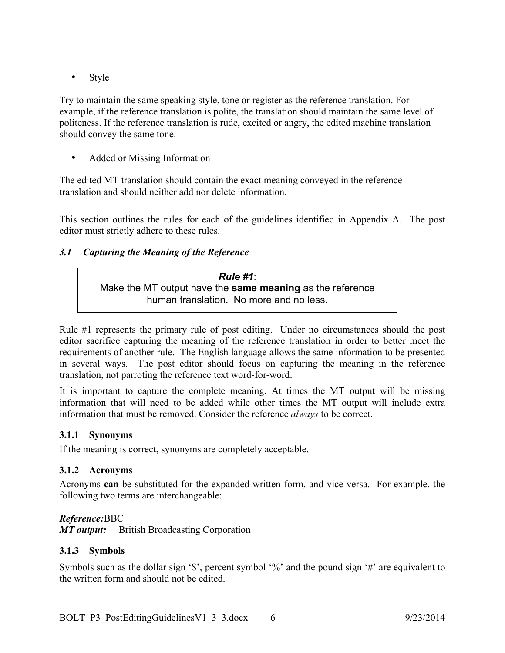• Style

Try to maintain the same speaking style, tone or register as the reference translation. For example, if the reference translation is polite, the translation should maintain the same level of politeness. If the reference translation is rude, excited or angry, the edited machine translation should convey the same tone.

• Added or Missing Information

The edited MT translation should contain the exact meaning conveyed in the reference translation and should neither add nor delete information.

This section outlines the rules for each of the guidelines identified in Appendix A. The post editor must strictly adhere to these rules.

# *3.1 Capturing the Meaning of the Reference*

*Rule #1*: Make the MT output have the **same meaning** as the reference human translation. No more and no less.

Rule #1 represents the primary rule of post editing. Under no circumstances should the post editor sacrifice capturing the meaning of the reference translation in order to better meet the requirements of another rule. The English language allows the same information to be presented in several ways. The post editor should focus on capturing the meaning in the reference translation, not parroting the reference text word-for-word.

It is important to capture the complete meaning. At times the MT output will be missing information that will need to be added while other times the MT output will include extra information that must be removed. Consider the reference *always* to be correct.

## **3.1.1 Synonyms**

If the meaning is correct, synonyms are completely acceptable.

## **3.1.2 Acronyms**

Acronyms **can** be substituted for the expanded written form, and vice versa. For example, the following two terms are interchangeable:

## *Reference:*BBC

*MT output:* British Broadcasting Corporation

## **3.1.3 Symbols**

Symbols such as the dollar sign '\$', percent symbol '%' and the pound sign '#' are equivalent to the written form and should not be edited.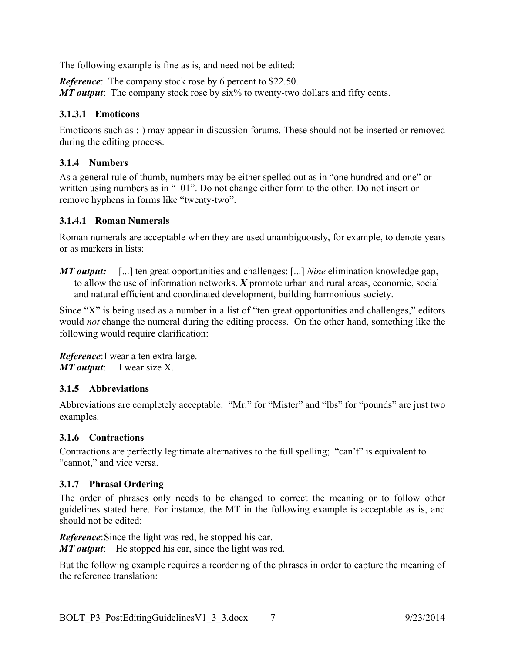The following example is fine as is, and need not be edited:

*Reference*: The company stock rose by 6 percent to \$22.50. *MT output*: The company stock rose by six% to twenty-two dollars and fifty cents.

# **3.1.3.1 Emoticons**

Emoticons such as :-) may appear in discussion forums. These should not be inserted or removed during the editing process.

# **3.1.4 Numbers**

As a general rule of thumb, numbers may be either spelled out as in "one hundred and one" or written using numbers as in "101". Do not change either form to the other. Do not insert or remove hyphens in forms like "twenty-two".

# **3.1.4.1 Roman Numerals**

Roman numerals are acceptable when they are used unambiguously, for example, to denote years or as markers in lists:

*MT output:* [...] ten great opportunities and challenges: [...] *Nine* elimination knowledge gap, to allow the use of information networks. *X* promote urban and rural areas, economic, social and natural efficient and coordinated development, building harmonious society.

Since "X" is being used as a number in a list of "ten great opportunities and challenges," editors would *not* change the numeral during the editing process. On the other hand, something like the following would require clarification:

*Reference*:I wear a ten extra large. *MT output*: I wear size X.

# **3.1.5 Abbreviations**

Abbreviations are completely acceptable. "Mr." for "Mister" and "lbs" for "pounds" are just two examples.

# **3.1.6 Contractions**

Contractions are perfectly legitimate alternatives to the full spelling; "can't" is equivalent to "cannot," and vice versa.

# **3.1.7 Phrasal Ordering**

The order of phrases only needs to be changed to correct the meaning or to follow other guidelines stated here. For instance, the MT in the following example is acceptable as is, and should not be edited:

*Reference*:Since the light was red, he stopped his car.

*MT output*: He stopped his car, since the light was red.

But the following example requires a reordering of the phrases in order to capture the meaning of the reference translation: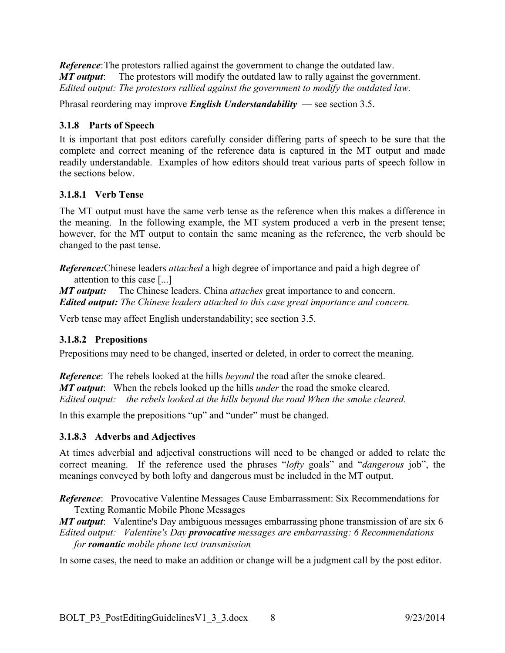*Reference*:The protestors rallied against the government to change the outdated law. *MT output*: The protestors will modify the outdated law to rally against the government. *Edited output: The protestors rallied against the government to modify the outdated law.*

Phrasal reordering may improve *English Understandability* — see section 3.5.

# **3.1.8 Parts of Speech**

It is important that post editors carefully consider differing parts of speech to be sure that the complete and correct meaning of the reference data is captured in the MT output and made readily understandable. Examples of how editors should treat various parts of speech follow in the sections below.

# **3.1.8.1 Verb Tense**

The MT output must have the same verb tense as the reference when this makes a difference in the meaning. In the following example, the MT system produced a verb in the present tense; however, for the MT output to contain the same meaning as the reference, the verb should be changed to the past tense.

*Reference:*Chinese leaders *attached* a high degree of importance and paid a high degree of attention to this case [...]

*MT output:* The Chinese leaders. China *attaches* great importance to and concern. *Edited output: The Chinese leaders attached to this case great importance and concern.*

Verb tense may affect English understandability; see section 3.5.

# **3.1.8.2 Prepositions**

Prepositions may need to be changed, inserted or deleted, in order to correct the meaning.

*Reference*: The rebels looked at the hills *beyond* the road after the smoke cleared. *MT output*: When the rebels looked up the hills *under* the road the smoke cleared. *Edited output: the rebels looked at the hills beyond the road When the smoke cleared.*

In this example the prepositions "up" and "under" must be changed.

# **3.1.8.3 Adverbs and Adjectives**

At times adverbial and adjectival constructions will need to be changed or added to relate the correct meaning. If the reference used the phrases "*lofty* goals" and "*dangerous* job", the meanings conveyed by both lofty and dangerous must be included in the MT output.

*Reference*: Provocative Valentine Messages Cause Embarrassment: Six Recommendations for Texting Romantic Mobile Phone Messages

*MT output*: Valentine's Day ambiguous messages embarrassing phone transmission of are six 6 *Edited output: Valentine's Day provocative messages are embarrassing: 6 Recommendations for romantic mobile phone text transmission*

In some cases, the need to make an addition or change will be a judgment call by the post editor.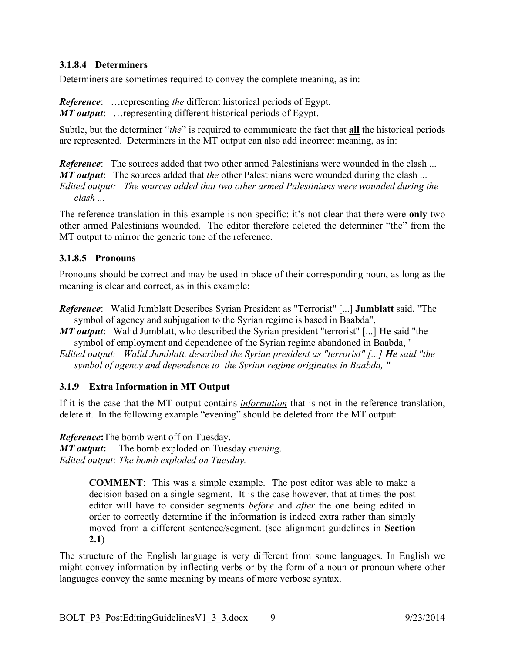## **3.1.8.4 Determiners**

Determiners are sometimes required to convey the complete meaning, as in:

*Reference*: …representing *the* different historical periods of Egypt. *MT output*: …representing different historical periods of Egypt.

Subtle, but the determiner "*the*" is required to communicate the fact that **all** the historical periods are represented. Determiners in the MT output can also add incorrect meaning, as in:

*Reference*: The sources added that two other armed Palestinians were wounded in the clash ... *MT output*: The sources added that *the* other Palestinians were wounded during the clash ... *Edited output: The sources added that two other armed Palestinians were wounded during the clash ...*

The reference translation in this example is non-specific: it's not clear that there were **only** two other armed Palestinians wounded. The editor therefore deleted the determiner "the" from the MT output to mirror the generic tone of the reference.

# **3.1.8.5 Pronouns**

Pronouns should be correct and may be used in place of their corresponding noun, as long as the meaning is clear and correct, as in this example:

- *Reference*: Walid Jumblatt Describes Syrian President as "Terrorist" [...] **Jumblatt** said, "The symbol of agency and subjugation to the Syrian regime is based in Baabda",
- *MT output*: Walid Jumblatt, who described the Syrian president "terrorist" [...] **He** said "the symbol of employment and dependence of the Syrian regime abandoned in Baabda, "

*Edited output: Walid Jumblatt, described the Syrian president as "terrorist" [...] He said "the symbol of agency and dependence to the Syrian regime originates in Baabda, "* 

# **3.1.9 Extra Information in MT Output**

If it is the case that the MT output contains *information* that is not in the reference translation, delete it. In the following example "evening" should be deleted from the MT output:

*Reference***:**The bomb went off on Tuesday.

*MT output***:** The bomb exploded on Tuesday *evening*. *Edited output*: *The bomb exploded on Tuesday.*

> **COMMENT**: This was a simple example. The post editor was able to make a decision based on a single segment. It is the case however, that at times the post editor will have to consider segments *before* and *after* the one being edited in order to correctly determine if the information is indeed extra rather than simply moved from a different sentence/segment. (see alignment guidelines in **Section 2.1**)

The structure of the English language is very different from some languages. In English we might convey information by inflecting verbs or by the form of a noun or pronoun where other languages convey the same meaning by means of more verbose syntax.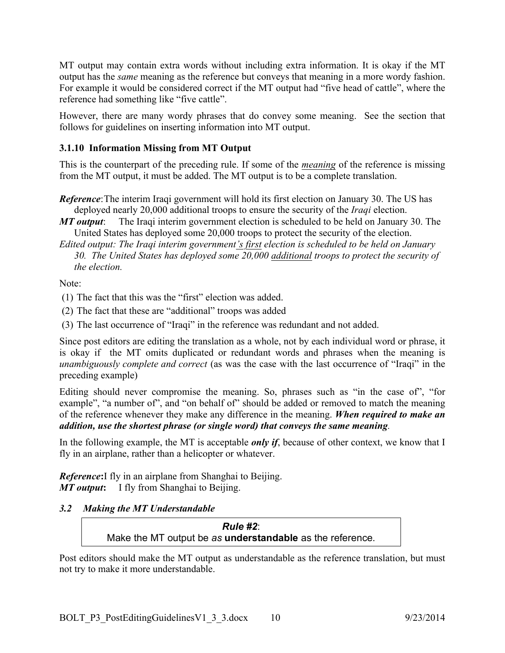MT output may contain extra words without including extra information. It is okay if the MT output has the *same* meaning as the reference but conveys that meaning in a more wordy fashion. For example it would be considered correct if the MT output had "five head of cattle", where the reference had something like "five cattle".

However, there are many wordy phrases that do convey some meaning. See the section that follows for guidelines on inserting information into MT output.

## **3.1.10 Information Missing from MT Output**

This is the counterpart of the preceding rule. If some of the *meaning* of the reference is missing from the MT output, it must be added. The MT output is to be a complete translation.

- *Reference*: The interim Iraqi government will hold its first election on January 30. The US has deployed nearly 20,000 additional troops to ensure the security of the *Iraqi* election.
- *MT output*: The Iraqi interim government election is scheduled to be held on January 30. The United States has deployed some 20,000 troops to protect the security of the election.
- *Edited output: The Iraqi interim government's first election is scheduled to be held on January 30. The United States has deployed some 20,000 additional troops to protect the security of the election.*

Note:

- (1) The fact that this was the "first" election was added.
- (2) The fact that these are "additional" troops was added

(3) The last occurrence of "Iraqi" in the reference was redundant and not added.

Since post editors are editing the translation as a whole, not by each individual word or phrase, it is okay if the MT omits duplicated or redundant words and phrases when the meaning is *unambiguously complete and correct* (as was the case with the last occurrence of "Iraqi" in the preceding example)

Editing should never compromise the meaning. So, phrases such as "in the case of", "for example", "a number of", and "on behalf of" should be added or removed to match the meaning of the reference whenever they make any difference in the meaning. *When required to make an addition, use the shortest phrase (or single word) that conveys the same meaning.*

In the following example, the MT is acceptable *only if*, because of other context, we know that I fly in an airplane, rather than a helicopter or whatever.

*Reference***:**I fly in an airplane from Shanghai to Beijing. *MT output***:** I fly from Shanghai to Beijing.

# *3.2 Making the MT Understandable*

*Rule #2*: Make the MT output be *as* **understandable** as the reference.

Post editors should make the MT output as understandable as the reference translation, but must not try to make it more understandable.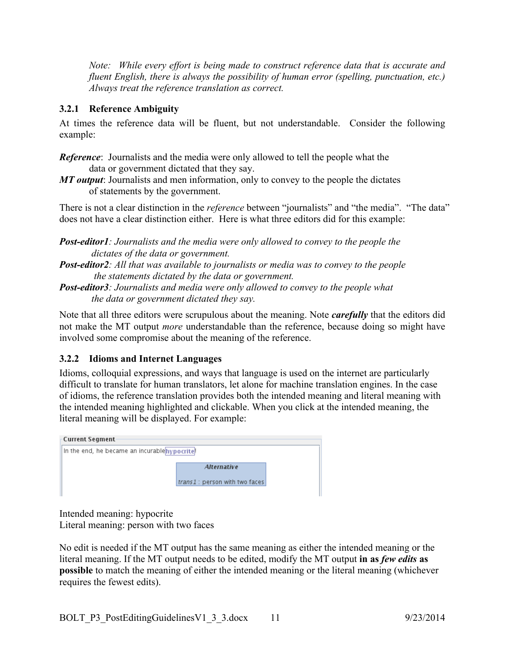*Note: While every effort is being made to construct reference data that is accurate and fluent English, there is always the possibility of human error (spelling, punctuation, etc.) Always treat the reference translation as correct.*

# **3.2.1 Reference Ambiguity**

At times the reference data will be fluent, but not understandable. Consider the following example:

*Reference*: Journalists and the media were only allowed to tell the people what the data or government dictated that they say.

*MT output*: Journalists and men information, only to convey to the people the dictates of statements by the government.

There is not a clear distinction in the *reference* between "journalists" and "the media". "The data" does not have a clear distinction either. Here is what three editors did for this example:

*Post-editor1: Journalists and the media were only allowed to convey to the people the dictates of the data or government.*

- *Post-editor2: All that was available to journalists or media was to convey to the people the statements dictated by the data or government.*
- *Post-editor3: Journalists and media were only allowed to convey to the people what the data or government dictated they say.*

Note that all three editors were scrupulous about the meaning. Note *carefully* that the editors did not make the MT output *more* understandable than the reference, because doing so might have involved some compromise about the meaning of the reference.

# **3.2.2 Idioms and Internet Languages**

Idioms, colloquial expressions, and ways that language is used on the internet are particularly difficult to translate for human translators, let alone for machine translation engines. In the case of idioms, the reference translation provides both the intended meaning and literal meaning with the intended meaning highlighted and clickable. When you click at the intended meaning, the literal meaning will be displayed. For example:

| Current Segment·                             |                                                      |  |  |  |  |  |
|----------------------------------------------|------------------------------------------------------|--|--|--|--|--|
| In the end, he became an incurablehypocrite! |                                                      |  |  |  |  |  |
|                                              | <b>Alternative</b><br>trans1 : person with two faces |  |  |  |  |  |

Intended meaning: hypocrite Literal meaning: person with two faces

No edit is needed if the MT output has the same meaning as either the intended meaning or the literal meaning. If the MT output needs to be edited, modify the MT output **in as** *few edits* **as possible** to match the meaning of either the intended meaning or the literal meaning (whichever requires the fewest edits).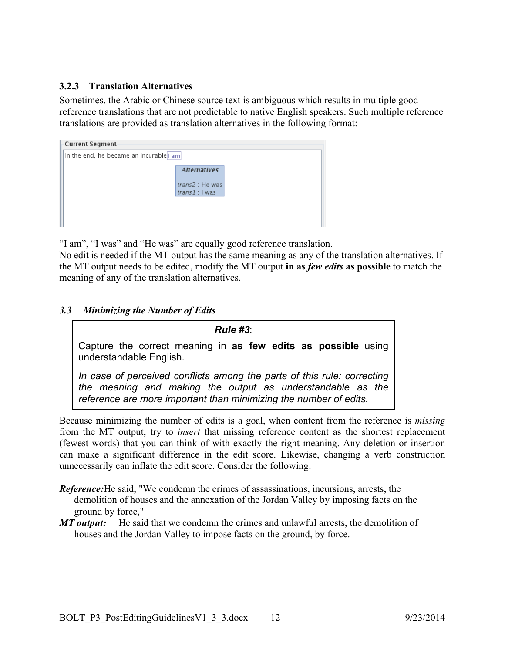# **3.2.3 Translation Alternatives**

Sometimes, the Arabic or Chinese source text is ambiguous which results in multiple good reference translations that are not predictable to native English speakers. Such multiple reference translations are provided as translation alternatives in the following format:

| Current Segment-                       |                                   |  |  |  |  |
|----------------------------------------|-----------------------------------|--|--|--|--|
| In the end, he became an incurable am! |                                   |  |  |  |  |
|                                        | <b>Alternatives</b>               |  |  |  |  |
|                                        | trans2 : He was<br>$trans1:1$ was |  |  |  |  |
|                                        |                                   |  |  |  |  |
|                                        |                                   |  |  |  |  |

"I am", "I was" and "He was" are equally good reference translation.

No edit is needed if the MT output has the same meaning as any of the translation alternatives. If the MT output needs to be edited, modify the MT output **in as** *few edits* **as possible** to match the meaning of any of the translation alternatives.

## *3.3 Minimizing the Number of Edits*

*Rule #3*: Capture the correct meaning in **as few edits as possible** using understandable English. *In case of perceived conflicts among the parts of this rule: correcting the meaning and making the output as understandable as the reference are more important than minimizing the number of edits.*

Because minimizing the number of edits is a goal, when content from the reference is *missing* from the MT output, try to *insert* that missing reference content as the shortest replacement (fewest words) that you can think of with exactly the right meaning. Any deletion or insertion can make a significant difference in the edit score. Likewise, changing a verb construction unnecessarily can inflate the edit score. Consider the following:

- *Reference:*He said, "We condemn the crimes of assassinations, incursions, arrests, the demolition of houses and the annexation of the Jordan Valley by imposing facts on the ground by force,"
- *MT output:* He said that we condemn the crimes and unlawful arrests, the demolition of houses and the Jordan Valley to impose facts on the ground, by force.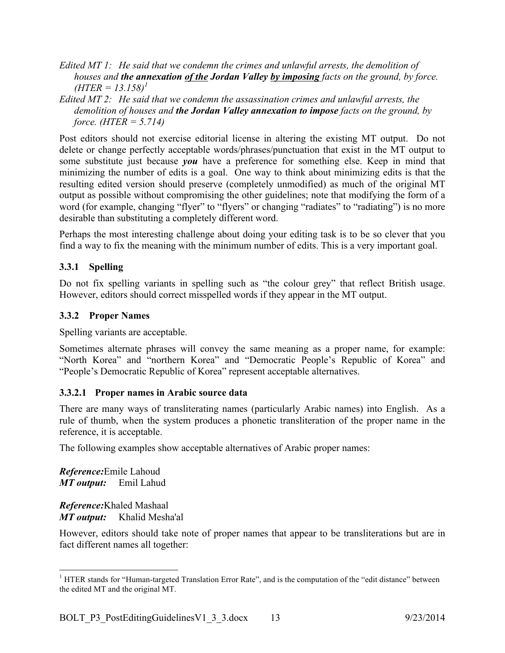- *Edited MT 1: He said that we condemn the crimes and unlawful arrests, the demolition of houses and the annexation of the Jordan Valley by imposing facts on the ground, by force.*   $(HTER = 13.158)^{1}$
- *Edited MT 2: He said that we condemn the assassination crimes and unlawful arrests, the demolition of houses and the Jordan Valley annexation to impose facts on the ground, by force. (HTER = 5.714)*

Post editors should not exercise editorial license in altering the existing MT output. Do not delete or change perfectly acceptable words/phrases/punctuation that exist in the MT output to some substitute just because *you* have a preference for something else. Keep in mind that minimizing the number of edits is a goal. One way to think about minimizing edits is that the resulting edited version should preserve (completely unmodified) as much of the original MT output as possible without compromising the other guidelines; note that modifying the form of a word (for example, changing "flyer" to "flyers" or changing "radiates" to "radiating") is no more desirable than substituting a completely different word.

Perhaps the most interesting challenge about doing your editing task is to be so clever that you find a way to fix the meaning with the minimum number of edits. This is a very important goal.

# **3.3.1 Spelling**

Do not fix spelling variants in spelling such as "the colour grey" that reflect British usage. However, editors should correct misspelled words if they appear in the MT output.

# **3.3.2 Proper Names**

Spelling variants are acceptable.

Sometimes alternate phrases will convey the same meaning as a proper name, for example: "North Korea" and "northern Korea" and "Democratic People's Republic of Korea" and "People's Democratic Republic of Korea" represent acceptable alternatives.

## **3.3.2.1 Proper names in Arabic source data**

There are many ways of transliterating names (particularly Arabic names) into English. As a rule of thumb, when the system produces a phonetic transliteration of the proper name in the reference, it is acceptable.

The following examples show acceptable alternatives of Arabic proper names:

*Reference:*Emile Lahoud *MT output:* Emil Lahud

*Reference:*Khaled Mashaal *MT output:* Khalid Mesha'al

However, editors should take note of proper names that appear to be transliterations but are in fact different names all together:

<sup>&</sup>lt;sup>1</sup> HTER stands for "Human-targeted Translation Error Rate", and is the computation of the "edit distance" between the edited MT and the original MT.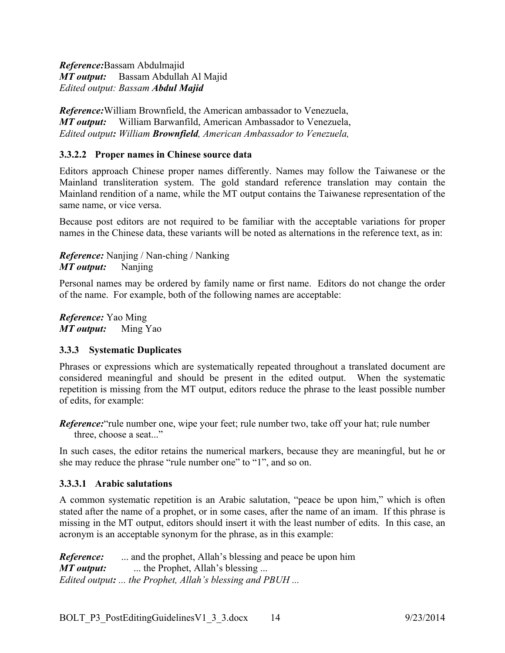*Reference:*Bassam Abdulmajid *MT output:* Bassam Abdullah Al Majid *Edited output: Bassam Abdul Majid*

*Reference:*William Brownfield, the American ambassador to Venezuela, *MT output:* William Barwanfild, American Ambassador to Venezuela, *Edited output: William Brownfield, American Ambassador to Venezuela,*

## **3.3.2.2 Proper names in Chinese source data**

Editors approach Chinese proper names differently. Names may follow the Taiwanese or the Mainland transliteration system. The gold standard reference translation may contain the Mainland rendition of a name, while the MT output contains the Taiwanese representation of the same name, or vice versa.

Because post editors are not required to be familiar with the acceptable variations for proper names in the Chinese data, these variants will be noted as alternations in the reference text, as in:

*Reference:* Nanjing / Nan-ching / Nanking *MT output:* Nanjing

Personal names may be ordered by family name or first name. Editors do not change the order of the name. For example, both of the following names are acceptable:

*Reference:* Yao Ming *MT output:* Ming Yao

## **3.3.3 Systematic Duplicates**

Phrases or expressions which are systematically repeated throughout a translated document are considered meaningful and should be present in the edited output. When the systematic repetition is missing from the MT output, editors reduce the phrase to the least possible number of edits, for example:

*Reference:* "rule number one, wipe your feet; rule number two, take off your hat; rule number three, choose a seat..."

In such cases, the editor retains the numerical markers, because they are meaningful, but he or she may reduce the phrase "rule number one" to "1", and so on.

## **3.3.3.1 Arabic salutations**

A common systematic repetition is an Arabic salutation, "peace be upon him," which is often stated after the name of a prophet, or in some cases, after the name of an imam. If this phrase is missing in the MT output, editors should insert it with the least number of edits. In this case, an acronym is an acceptable synonym for the phrase, as in this example:

*Reference:* ... and the prophet, Allah's blessing and peace be upon him *MT output:* .... the Prophet, Allah's blessing ... *Edited output: ... the Prophet, Allah's blessing and PBUH ...*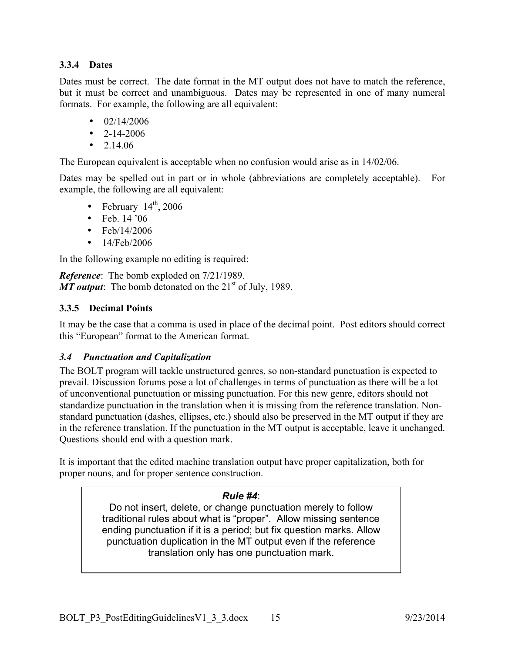## **3.3.4 Dates**

Dates must be correct. The date format in the MT output does not have to match the reference, but it must be correct and unambiguous. Dates may be represented in one of many numeral formats. For example, the following are all equivalent:

- $02/14/2006$
- $\cdot$  2-14-2006
- $2.14.06$

The European equivalent is acceptable when no confusion would arise as in 14/02/06.

Dates may be spelled out in part or in whole (abbreviations are completely acceptable). For example, the following are all equivalent:

- February  $14<sup>th</sup>$ , 2006
- Feb. 14 '06
- Feb/14/2006
- 14/Feb/2006

In the following example no editing is required:

*Reference*: The bomb exploded on 7/21/1989. *MT output*: The bomb detonated on the 21<sup>st</sup> of July, 1989.

# **3.3.5 Decimal Points**

It may be the case that a comma is used in place of the decimal point. Post editors should correct this "European" format to the American format.

## *3.4 Punctuation and Capitalization*

The BOLT program will tackle unstructured genres, so non-standard punctuation is expected to prevail. Discussion forums pose a lot of challenges in terms of punctuation as there will be a lot of unconventional punctuation or missing punctuation. For this new genre, editors should not standardize punctuation in the translation when it is missing from the reference translation. Nonstandard punctuation (dashes, ellipses, etc.) should also be preserved in the MT output if they are in the reference translation. If the punctuation in the MT output is acceptable, leave it unchanged. Questions should end with a question mark.

It is important that the edited machine translation output have proper capitalization, both for proper nouns, and for proper sentence construction.

## *Rule #4*:

Do not insert, delete, or change punctuation merely to follow traditional rules about what is "proper". Allow missing sentence ending punctuation if it is a period; but fix question marks. Allow punctuation duplication in the MT output even if the reference translation only has one punctuation mark.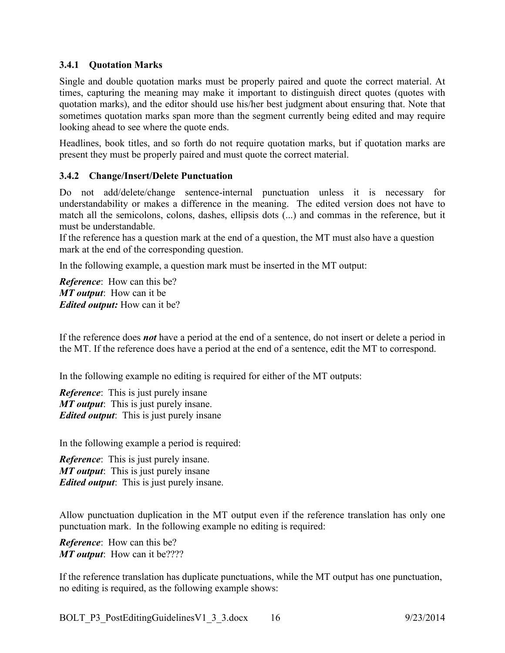#### **3.4.1 Quotation Marks**

Single and double quotation marks must be properly paired and quote the correct material. At times, capturing the meaning may make it important to distinguish direct quotes (quotes with quotation marks), and the editor should use his/her best judgment about ensuring that. Note that sometimes quotation marks span more than the segment currently being edited and may require looking ahead to see where the quote ends.

Headlines, book titles, and so forth do not require quotation marks, but if quotation marks are present they must be properly paired and must quote the correct material.

#### **3.4.2 Change/Insert/Delete Punctuation**

Do not add/delete/change sentence-internal punctuation unless it is necessary for understandability or makes a difference in the meaning. The edited version does not have to match all the semicolons, colons, dashes, ellipsis dots (...) and commas in the reference, but it must be understandable.

If the reference has a question mark at the end of a question, the MT must also have a question mark at the end of the corresponding question.

In the following example, a question mark must be inserted in the MT output:

*Reference*: How can this be? *MT output*: How can it be *Edited output:* How can it be?

If the reference does *not* have a period at the end of a sentence, do not insert or delete a period in the MT. If the reference does have a period at the end of a sentence, edit the MT to correspond.

In the following example no editing is required for either of the MT outputs:

*Reference*: This is just purely insane *MT output*: This is just purely insane. *Edited output*: This is just purely insane

In the following example a period is required:

*Reference*: This is just purely insane. *MT output*: This is just purely insane *Edited output*: This is just purely insane.

Allow punctuation duplication in the MT output even if the reference translation has only one punctuation mark. In the following example no editing is required:

*Reference*: How can this be? *MT output*: How can it be????

If the reference translation has duplicate punctuations, while the MT output has one punctuation, no editing is required, as the following example shows: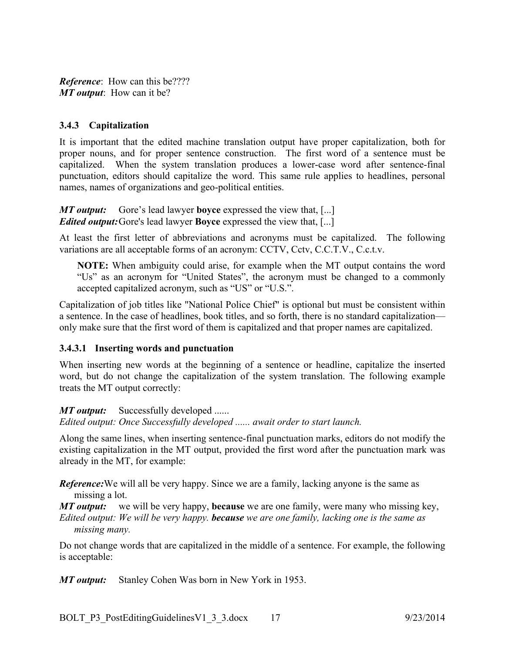*Reference*: How can this be???? *MT output*: How can it be?

## **3.4.3 Capitalization**

It is important that the edited machine translation output have proper capitalization, both for proper nouns, and for proper sentence construction. The first word of a sentence must be capitalized. When the system translation produces a lower-case word after sentence-final punctuation, editors should capitalize the word. This same rule applies to headlines, personal names, names of organizations and geo-political entities.

*MT output:* Gore's lead lawyer **boyce** expressed the view that, [...] *Edited output:*Gore's lead lawyer **Boyce** expressed the view that, [...]

At least the first letter of abbreviations and acronyms must be capitalized. The following variations are all acceptable forms of an acronym: CCTV, Cctv, C.C.T.V., C.c.t.v.

**NOTE:** When ambiguity could arise, for example when the MT output contains the word "Us" as an acronym for "United States", the acronym must be changed to a commonly accepted capitalized acronym, such as "US" or "U.S.".

Capitalization of job titles like "National Police Chief" is optional but must be consistent within a sentence. In the case of headlines, book titles, and so forth, there is no standard capitalization only make sure that the first word of them is capitalized and that proper names are capitalized.

## **3.4.3.1 Inserting words and punctuation**

When inserting new words at the beginning of a sentence or headline, capitalize the inserted word, but do not change the capitalization of the system translation. The following example treats the MT output correctly:

*MT output:* Successfully developed ......

*Edited output: Once Successfully developed ...... await order to start launch.*

Along the same lines, when inserting sentence-final punctuation marks, editors do not modify the existing capitalization in the MT output, provided the first word after the punctuation mark was already in the MT, for example:

*Reference:* We will all be very happy. Since we are a family, lacking anyone is the same as missing a lot.

*MT output:* we will be very happy, **because** we are one family, were many who missing key,

*Edited output: We will be very happy. because we are one family, lacking one is the same as missing many.*

Do not change words that are capitalized in the middle of a sentence. For example, the following is acceptable:

*MT output:* Stanley Cohen Was born in New York in 1953.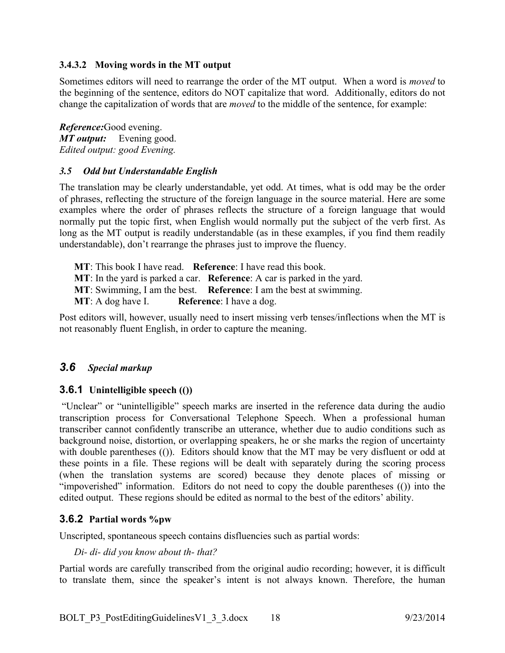## **3.4.3.2 Moving words in the MT output**

Sometimes editors will need to rearrange the order of the MT output. When a word is *moved* to the beginning of the sentence, editors do NOT capitalize that word. Additionally, editors do not change the capitalization of words that are *moved* to the middle of the sentence, for example:

*Reference:*Good evening. *MT output:* Evening good. *Edited output: good Evening.* 

#### *3.5 Odd but Understandable English*

The translation may be clearly understandable, yet odd. At times, what is odd may be the order of phrases, reflecting the structure of the foreign language in the source material. Here are some examples where the order of phrases reflects the structure of a foreign language that would normally put the topic first, when English would normally put the subject of the verb first. As long as the MT output is readily understandable (as in these examples, if you find them readily understandable), don't rearrange the phrases just to improve the fluency.

**MT**: This book I have read. **Reference**: I have read this book. **MT**: In the yard is parked a car. **Reference**: A car is parked in the yard. **MT**: Swimming, I am the best. **Reference**: I am the best at swimming. **MT**: A dog have I. **Reference**: I have a dog.

Post editors will, however, usually need to insert missing verb tenses/inflections when the MT is not reasonably fluent English, in order to capture the meaning.

## *3.6 Special markup*

## **3.6.1 Unintelligible speech (())**

"Unclear" or "unintelligible" speech marks are inserted in the reference data during the audio transcription process for Conversational Telephone Speech. When a professional human transcriber cannot confidently transcribe an utterance, whether due to audio conditions such as background noise, distortion, or overlapping speakers, he or she marks the region of uncertainty with double parentheses (()). Editors should know that the MT may be very disfluent or odd at these points in a file. These regions will be dealt with separately during the scoring process (when the translation systems are scored) because they denote places of missing or "impoverished" information. Editors do not need to copy the double parentheses (()) into the edited output. These regions should be edited as normal to the best of the editors' ability.

## **3.6.2 Partial words %pw**

Unscripted, spontaneous speech contains disfluencies such as partial words:

*Di- di- did you know about th- that?*

Partial words are carefully transcribed from the original audio recording; however, it is difficult to translate them, since the speaker's intent is not always known. Therefore, the human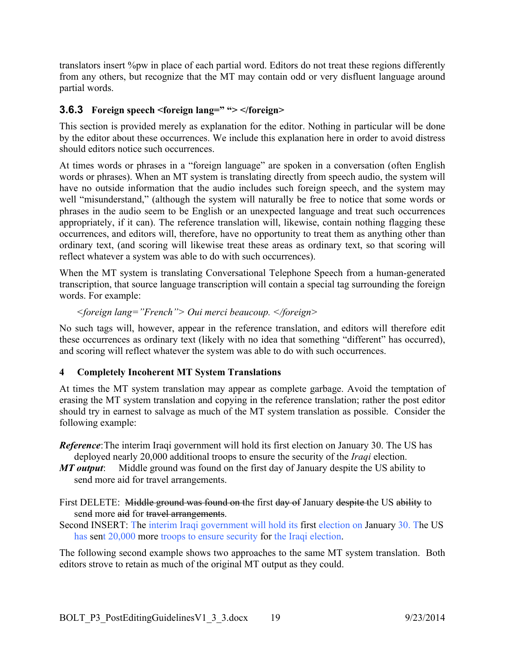translators insert %pw in place of each partial word. Editors do not treat these regions differently from any others, but recognize that the MT may contain odd or very disfluent language around partial words.

# **3.6.3 Foreign speech <foreign lang=" "> </foreign>**

This section is provided merely as explanation for the editor. Nothing in particular will be done by the editor about these occurrences. We include this explanation here in order to avoid distress should editors notice such occurrences.

At times words or phrases in a "foreign language" are spoken in a conversation (often English words or phrases). When an MT system is translating directly from speech audio, the system will have no outside information that the audio includes such foreign speech, and the system may well "misunderstand," (although the system will naturally be free to notice that some words or phrases in the audio seem to be English or an unexpected language and treat such occurrences appropriately, if it can). The reference translation will, likewise, contain nothing flagging these occurrences, and editors will, therefore, have no opportunity to treat them as anything other than ordinary text, (and scoring will likewise treat these areas as ordinary text, so that scoring will reflect whatever a system was able to do with such occurrences).

When the MT system is translating Conversational Telephone Speech from a human-generated transcription, that source language transcription will contain a special tag surrounding the foreign words. For example:

```
<foreign lang="French"> Oui merci beaucoup. </foreign>
```
No such tags will, however, appear in the reference translation, and editors will therefore edit these occurrences as ordinary text (likely with no idea that something "different" has occurred), and scoring will reflect whatever the system was able to do with such occurrences.

# **4 Completely Incoherent MT System Translations**

At times the MT system translation may appear as complete garbage. Avoid the temptation of erasing the MT system translation and copying in the reference translation; rather the post editor should try in earnest to salvage as much of the MT system translation as possible. Consider the following example:

*Reference*:The interim Iraqi government will hold its first election on January 30. The US has deployed nearly 20,000 additional troops to ensure the security of the *Iraqi* election.

*MT output*: Middle ground was found on the first day of January despite the US ability to send more aid for travel arrangements.

First DELETE: Middle ground was found on the first day of January despite the US ability to send more aid for travel arrangements.

Second INSERT: The interim Iraqi government will hold its first election on January 30. The US has sent 20,000 more troops to ensure security for the Iraqi election.

The following second example shows two approaches to the same MT system translation. Both editors strove to retain as much of the original MT output as they could.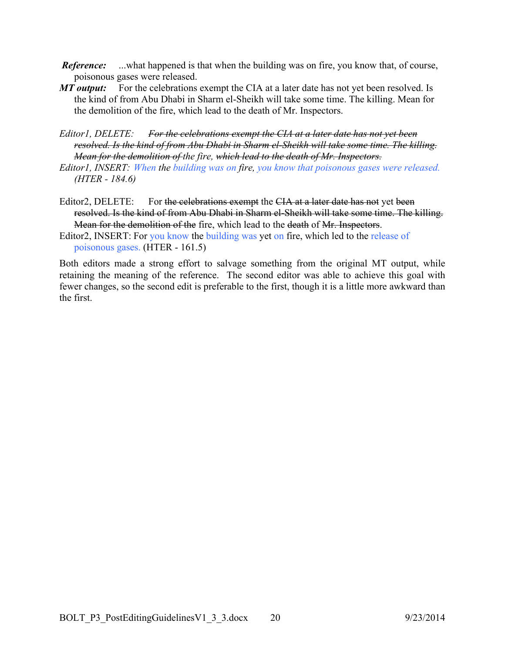- *Reference:* ...what happened is that when the building was on fire, you know that, of course, poisonous gases were released.
- *MT output:* For the celebrations exempt the CIA at a later date has not yet been resolved. Is the kind of from Abu Dhabi in Sharm el-Sheikh will take some time. The killing. Mean for the demolition of the fire, which lead to the death of Mr. Inspectors.

*Editor1, DELETE: For the celebrations exempt the CIA at a later date has not yet been resolved. Is the kind of from Abu Dhabi in Sharm el-Sheikh will take some time. The killing. Mean for the demolition of the fire, which lead to the death of Mr. Inspectors.*

- *Editor1, INSERT: When the building was on fire, you know that poisonous gases were released. (HTER - 184.6)*
- Editor2, DELETE: For the celebrations exempt the CIA at a later date has not yet been resolved. Is the kind of from Abu Dhabi in Sharm el-Sheikh will take some time. The killing. Mean for the demolition of the fire, which lead to the death of Mr. Inspectors.
- Editor2, INSERT: For you know the building was yet on fire, which led to the release of poisonous gases. (HTER - 161.5)

Both editors made a strong effort to salvage something from the original MT output, while retaining the meaning of the reference. The second editor was able to achieve this goal with fewer changes, so the second edit is preferable to the first, though it is a little more awkward than the first.